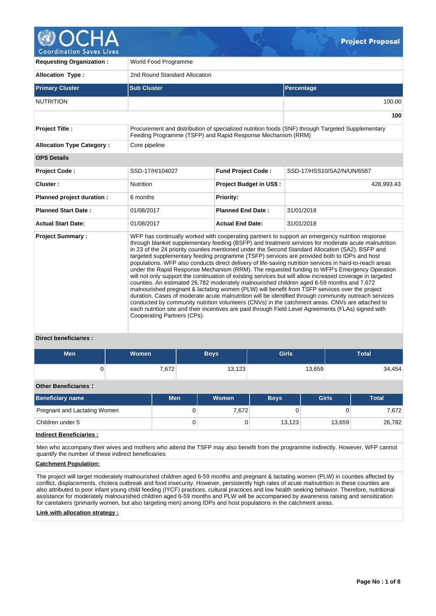

**Coordination Saves Lives** 

| <b>Requesting Organization:</b>  | World Food Programme                                        |                                |                                                                                                                                                                                                                                                                                                                                                                                                                                                                                                                                                                                                                                                                                                                                                                                                                                                                                                                                                                                                                                                                                                                                                                                                                                                     |  |  |  |  |  |  |
|----------------------------------|-------------------------------------------------------------|--------------------------------|-----------------------------------------------------------------------------------------------------------------------------------------------------------------------------------------------------------------------------------------------------------------------------------------------------------------------------------------------------------------------------------------------------------------------------------------------------------------------------------------------------------------------------------------------------------------------------------------------------------------------------------------------------------------------------------------------------------------------------------------------------------------------------------------------------------------------------------------------------------------------------------------------------------------------------------------------------------------------------------------------------------------------------------------------------------------------------------------------------------------------------------------------------------------------------------------------------------------------------------------------------|--|--|--|--|--|--|
| <b>Allocation Type:</b>          | 2nd Round Standard Allocation                               |                                |                                                                                                                                                                                                                                                                                                                                                                                                                                                                                                                                                                                                                                                                                                                                                                                                                                                                                                                                                                                                                                                                                                                                                                                                                                                     |  |  |  |  |  |  |
| <b>Primary Cluster</b>           | <b>Sub Cluster</b>                                          |                                | Percentage                                                                                                                                                                                                                                                                                                                                                                                                                                                                                                                                                                                                                                                                                                                                                                                                                                                                                                                                                                                                                                                                                                                                                                                                                                          |  |  |  |  |  |  |
| <b>NUTRITION</b>                 |                                                             |                                | 100.00                                                                                                                                                                                                                                                                                                                                                                                                                                                                                                                                                                                                                                                                                                                                                                                                                                                                                                                                                                                                                                                                                                                                                                                                                                              |  |  |  |  |  |  |
|                                  |                                                             |                                | 100                                                                                                                                                                                                                                                                                                                                                                                                                                                                                                                                                                                                                                                                                                                                                                                                                                                                                                                                                                                                                                                                                                                                                                                                                                                 |  |  |  |  |  |  |
| <b>Project Title:</b>            | Feeding Programme (TSFP) and Rapid Response Mechanism (RRM) |                                | Procurement and distribution of specialized nutrition foods (SNF) through Targeted Supplementary                                                                                                                                                                                                                                                                                                                                                                                                                                                                                                                                                                                                                                                                                                                                                                                                                                                                                                                                                                                                                                                                                                                                                    |  |  |  |  |  |  |
| <b>Allocation Type Category:</b> | Core pipeline                                               |                                |                                                                                                                                                                                                                                                                                                                                                                                                                                                                                                                                                                                                                                                                                                                                                                                                                                                                                                                                                                                                                                                                                                                                                                                                                                                     |  |  |  |  |  |  |
| <b>OPS Details</b>               |                                                             |                                |                                                                                                                                                                                                                                                                                                                                                                                                                                                                                                                                                                                                                                                                                                                                                                                                                                                                                                                                                                                                                                                                                                                                                                                                                                                     |  |  |  |  |  |  |
| <b>Project Code:</b>             | SSD-17/H/104027                                             | <b>Fund Project Code:</b>      | SSD-17/HSS10/SA2/N/UN/6587                                                                                                                                                                                                                                                                                                                                                                                                                                                                                                                                                                                                                                                                                                                                                                                                                                                                                                                                                                                                                                                                                                                                                                                                                          |  |  |  |  |  |  |
| Cluster:                         | <b>Nutrition</b>                                            | <b>Project Budget in US\$:</b> | 428,993.43                                                                                                                                                                                                                                                                                                                                                                                                                                                                                                                                                                                                                                                                                                                                                                                                                                                                                                                                                                                                                                                                                                                                                                                                                                          |  |  |  |  |  |  |
| Planned project duration :       | 6 months                                                    | Priority:                      |                                                                                                                                                                                                                                                                                                                                                                                                                                                                                                                                                                                                                                                                                                                                                                                                                                                                                                                                                                                                                                                                                                                                                                                                                                                     |  |  |  |  |  |  |
| <b>Planned Start Date:</b>       | 01/08/2017                                                  | <b>Planned End Date:</b>       | 31/01/2018                                                                                                                                                                                                                                                                                                                                                                                                                                                                                                                                                                                                                                                                                                                                                                                                                                                                                                                                                                                                                                                                                                                                                                                                                                          |  |  |  |  |  |  |
| <b>Actual Start Date:</b>        | 01/08/2017                                                  | <b>Actual End Date:</b>        | 31/01/2018                                                                                                                                                                                                                                                                                                                                                                                                                                                                                                                                                                                                                                                                                                                                                                                                                                                                                                                                                                                                                                                                                                                                                                                                                                          |  |  |  |  |  |  |
| <b>Project Summary:</b><br>.     | Cooperating Partners (CPs).                                 |                                | WFP has continually worked with cooperating partners to support an emergency nutrition response<br>through blanket supplementary feeding (BSFP) and treatment services for moderate acute malnutrition<br>in 23 of the 24 priority counties mentioned under the Second Standard Allocation (SA2). BSFP and<br>targeted supplementary feeding programme (TSFP) services are provided both to IDPs and host<br>populations. WFP also conducts direct delivery of life-saving nutrition services in hard-to-reach areas<br>under the Rapid Response Mechanism (RRM). The requested funding to WFP's Emergency Operation<br>will not only support the continuation of existing services but will allow increased coverage in targeted<br>counties. An estimated 26,782 moderately malnourished children aged 6-59 months and 7,672<br>malnourished pregnant & lactating women (PLW) will benefit from TSFP services over the project<br>duration. Cases of moderate acute malnutrition will be identified through community outreach services<br>conducted by community nutrition volunteers (CNVs) in the catchment areas. CNVs are attached to<br>each nutrition site and their incentives are paid through Field Level Agreements (FLAs) signed with |  |  |  |  |  |  |

## **Direct beneficiaries :**

| <b>Men</b> | Women | <b>Boys</b> | Girls  | <b>Total</b> |
|------------|-------|-------------|--------|--------------|
|            | 7,672 | 13,123      | 13,659 | 34,454       |

#### **Other Beneficiaries :**

| <b>Beneficiary name</b>      | <b>Men</b> | Women | <b>Boys</b> | <b>Girls</b> | <b>Total</b> |
|------------------------------|------------|-------|-------------|--------------|--------------|
| Pregnant and Lactating Women | 0          | 7.672 |             |              | 7,672        |
| Children under 5             | 0          |       | 13.123      | 13,659       | 26,782       |
| .                            |            |       |             |              |              |

## **Indirect Beneficiaries :**

Men who accompany their wives and mothers who attend the TSFP may also benefit from the programme indirectly. However, WFP cannot quantify the number of these indirect beneficiaries

## **Catchment Population:**

The project will target moderately malnourished children aged 6-59 months and pregnant & lactating women (PLW) in counties affected by conflict, displacements, cholera outbreak and food insecurity. However, persistently high rates of acute malnutrition in these counties are also attributed to poor infant young child feeding (IYCF) practices, cultural practices and low health seeking behavior. Therefore, nutritional assistance for moderately malnourished children aged 6-59 months and PLW will be accompanied by awareness raising and sensitization for caretakers (primarily women, but also targeting men) among IDPs and host populations in the catchment areas.

## **Link with allocation strategy :**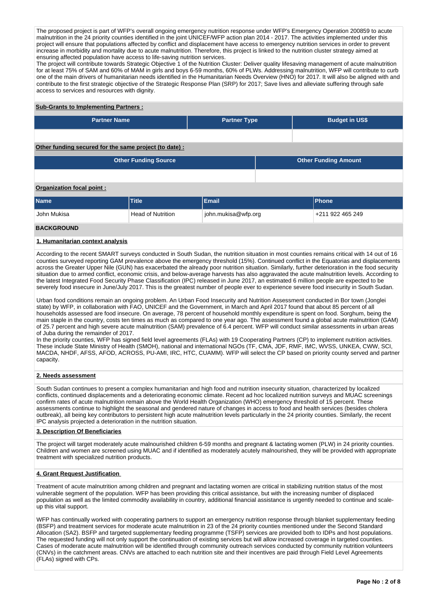The proposed project is part of WFP's overall ongoing emergency nutrition response under WFP's Emergency Operation 200859 to acute malnutrition in the 24 priority counties identified in the joint UNICEF/WFP action plan 2014 - 2017. The activities implemented under this project will ensure that populations affected by conflict and displacement have access to emergency nutrition services in order to prevent increase in morbidity and mortality due to acute malnutrition. Therefore, this project is linked to the nutrition cluster strategy aimed at ensuring affected population have access to life-saving nutrition services.

The project will contribute towards Strategic Objective 1 of the Nutrition Cluster: Deliver quality lifesaving management of acute malnutrition for at least 75% of SAM and 60% of MAM in girls and boys 6-59 months, 60% of PLWs. Addressing malnutrition, WFP will contribute to curb one of the main drivers of humanitarian needs identified in the Humanitarian Needs Overview (HNO) for 2017. It will also be aligned with and contribute to the first strategic objective of the Strategic Response Plan (SRP) for 2017; Save lives and alleviate suffering through safe access to services and resources with dignity.

# **Sub-Grants to Implementing Partners :**

| <b>Partner Name</b>                                        | <b>Partner Type</b>      |                     | <b>Budget in US\$</b> |                  |  |  |  |  |  |  |  |  |
|------------------------------------------------------------|--------------------------|---------------------|-----------------------|------------------|--|--|--|--|--|--|--|--|
|                                                            |                          |                     |                       |                  |  |  |  |  |  |  |  |  |
| Other funding secured for the same project (to date):      |                          |                     |                       |                  |  |  |  |  |  |  |  |  |
| <b>Other Funding Source</b><br><b>Other Funding Amount</b> |                          |                     |                       |                  |  |  |  |  |  |  |  |  |
|                                                            |                          |                     |                       |                  |  |  |  |  |  |  |  |  |
| Organization focal point:                                  |                          |                     |                       |                  |  |  |  |  |  |  |  |  |
| <b>Name</b>                                                | Title                    | Email               |                       | <b>Phone</b>     |  |  |  |  |  |  |  |  |
| John Mukisa                                                | <b>Head of Nutrition</b> | john.mukisa@wfp.org |                       | +211 922 465 249 |  |  |  |  |  |  |  |  |

# **BACKGROUND**

#### **1. Humanitarian context analysis**

According to the recent SMART surveys conducted in South Sudan, the nutrition situation in most counties remains critical with 14 out of 16 counties surveyed reporting GAM prevalence above the emergency threshold (15%). Continued conflict in the Equatorias and displacements across the Greater Upper Nile (GUN) has exacerbated the already poor nutrition situation. Similarly, further deterioration in the food security situation due to armed conflict, economic crisis, and below-average harvests has also aggravated the acute malnutrition levels. According to the latest Integrated Food Security Phase Classification (IPC) released in June 2017, an estimated 6 million people are expected to be severely food insecure in June/July 2017. This is the greatest number of people ever to experience severe food insecurity in South Sudan.

Urban food conditions remain an ongoing problem. An Urban Food Insecurity and Nutrition Assessment conducted in Bor town (Jonglei state) by WFP, in collaboration with FAO, UNICEF and the Government, in March and April 2017 found that about 85 percent of all households assessed are food insecure. On average, 78 percent of household monthly expenditure is spent on food. Sorghum, being the main staple in the country, costs ten times as much as compared to one year ago. The assessment found a global acute malnutrition (GAM) of 25.7 percent and high severe acute malnutrition (SAM) prevalence of 6.4 percent. WFP will conduct similar assessments in urban areas of Juba during the remainder of 2017.

In the priority counties, WFP has signed field level agreements (FLAs) with 19 Cooperating Partners (CP) to implement nutrition activities. These include State Ministry of Health (SMOH), national and international NGOs (TF, CMA, JDF, RMF, IMC, WVSS, UNKEA, CWW, SCI, MACDA, NHDF, AFSS, AFOD, ACROSS, PU-AMI, IRC, HTC, CUAMM). WFP will select the CP based on priority county served and partner capacity.

# **2. Needs assessment**

South Sudan continues to present a complex humanitarian and high food and nutrition insecurity situation, characterized by localized conflicts, continued displacements and a deteriorating economic climate. Recent ad hoc localized nutrition surveys and MUAC screenings confirm rates of acute malnutrition remain above the World Health Organization (WHO) emergency threshold of 15 percent. These assessments continue to highlight the seasonal and gendered nature of changes in access to food and health services (besides cholera outbreak), all being key contributors to persistent high acute malnutrition levels particularly in the 24 priority counties. Similarly, the recent IPC analysis projected a deterioration in the nutrition situation.

#### **3. Description Of Beneficiaries**

The project will target moderately acute malnourished children 6-59 months and pregnant & lactating women (PLW) in 24 priority counties. Children and women are screened using MUAC and if identified as moderately acutely malnourished, they will be provided with appropriate treatment with specialized nutrition products.

## **4. Grant Request Justification**

Treatment of acute malnutrition among children and pregnant and lactating women are critical in stabilizing nutrition status of the most vulnerable segment of the population. WFP has been providing this critical assistance, but with the increasing number of displaced population as well as the limited commodity availability in country, additional financial assistance is urgently needed to continue and scaleup this vital support.

WFP has continually worked with cooperating partners to support an emergency nutrition response through blanket supplementary feeding (BSFP) and treatment services for moderate acute malnutrition in 23 of the 24 priority counties mentioned under the Second Standard Allocation (SA2). BSFP and targeted supplementary feeding programme (TSFP) services are provided both to IDPs and host populations. The requested funding will not only support the continuation of existing services but will allow increased coverage in targeted counties. Cases of moderate acute malnutrition will be identified through community outreach services conducted by community nutrition volunteers (CNVs) in the catchment areas. CNVs are attached to each nutrition site and their incentives are paid through Field Level Agreements (FLAs) signed with CPs.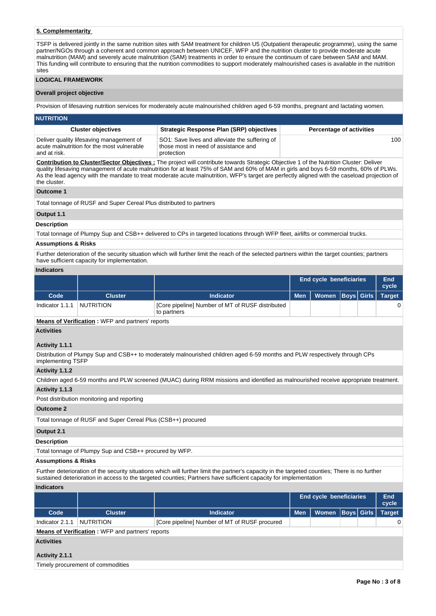# **5. Complementarity**

TSFP is delivered jointly in the same nutrition sites with SAM treatment for children U5 (Outpatient therapeutic programme), using the same partner/NGOs through a coherent and common approach between UNICEF, WFP and the nutrition cluster to provide moderate acute malnutrition (MAM) and severely acute malnutrition (SAM) treatments in order to ensure the continuum of care between SAM and MAM. This funding will contribute to ensuring that the nutrition commodities to support moderately malnourished cases is available in the nutrition sites

#### **LOGICAL FRAMEWORK**

#### **Overall project objective**

Provision of lifesaving nutrition services for moderately acute malnourished children aged 6-59 months, pregnant and lactating women.

#### **NUTRITION**

| <b>Cluster objectives</b>                                                                              | Strategic Response Plan (SRP) objectives                                                             | <b>Percentage of activities</b> |
|--------------------------------------------------------------------------------------------------------|------------------------------------------------------------------------------------------------------|---------------------------------|
| Deliver quality lifesaving management of<br>acute malnutrition for the most vulnerable<br>and at risk. | SO1: Save lives and alleviate the suffering of<br>those most in need of assistance and<br>protection | 100 <sup>1</sup>                |

**Contribution to Cluster/Sector Objectives :** The project will contribute towards Strategic Objective 1 of the Nutrition Cluster: Deliver quality lifesaving management of acute malnutrition for at least 75% of SAM and 60% of MAM in girls and boys 6-59 months, 60% of PLWs. As the lead agency with the mandate to treat moderate acute malnutrition, WFP's target are perfectly aligned with the caseload projection of the cluster.

## **Outcome 1**

Total tonnage of RUSF and Super Cereal Plus distributed to partners

## **Output 1.1**

# **Description**

Total tonnage of Plumpy Sup and CSB++ delivered to CPs in targeted locations through WFP fleet, airlifts or commercial trucks.

#### **Assumptions & Risks**

Further deterioration of the security situation which will further limit the reach of the selected partners within the target counties; partners have sufficient capacity for implementation.

# **Indicators**

|                 |                  |                                                                 | End cycle beneficiaries | End<br>cycle                  |  |  |
|-----------------|------------------|-----------------------------------------------------------------|-------------------------|-------------------------------|--|--|
| Code            | <b>Cluster</b>   | <b>Indicator</b>                                                | <b>Men</b>              | Women   Boys   Girls   Target |  |  |
| Indicator 1.1.1 | <b>NUTRITION</b> | [Core pipeline] Number of MT of RUSF distributed<br>to partners |                         |                               |  |  |

#### **Means of Verification :** WFP and partners' reports

#### **Activities**

## **Activity 1.1.1**

Distribution of Plumpy Sup and CSB++ to moderately malnourished children aged 6-59 months and PLW respectively through CPs implementing TSFP

### **Activity 1.1.2**

Children aged 6-59 months and PLW screened (MUAC) during RRM missions and identified as malnourished receive appropriate treatment. **Activity 1.1.3** 

# Post distribution monitoring and reporting

#### **Outcome 2**

Total tonnage of RUSF and Super Cereal Plus (CSB++) procured

#### **Output 2.1**

#### **Description**

Total tonnage of Plumpy Sup and CSB++ procured by WFP.

## **Assumptions & Risks**

Further deterioration of the security situations which will further limit the partner's capacity in the targeted counties; There is no further sustained deterioration in access to the targeted counties; Partners have sufficient capacity for implementation

#### **Indicators**

|                   |                                                         |                                               | End cycle beneficiaries | <b>End</b><br>cycle  |   |  |               |  |  |  |  |  |
|-------------------|---------------------------------------------------------|-----------------------------------------------|-------------------------|----------------------|---|--|---------------|--|--|--|--|--|
| Code              | <b>Cluster</b>                                          | <b>Indicator</b>                              | <b>Men</b>              | Women   Boys   Girls |   |  | <b>Target</b> |  |  |  |  |  |
| Indicator 2.1.1   | <b>NUTRITION</b>                                        | [Core pipeline] Number of MT of RUSF procured |                         |                      | 0 |  |               |  |  |  |  |  |
|                   | <b>Means of Verification: WFP and partners' reports</b> |                                               |                         |                      |   |  |               |  |  |  |  |  |
| <b>Activities</b> |                                                         |                                               |                         |                      |   |  |               |  |  |  |  |  |

# **Activity 2.1.1**

| Timely procurement of commodities |
|-----------------------------------|
|-----------------------------------|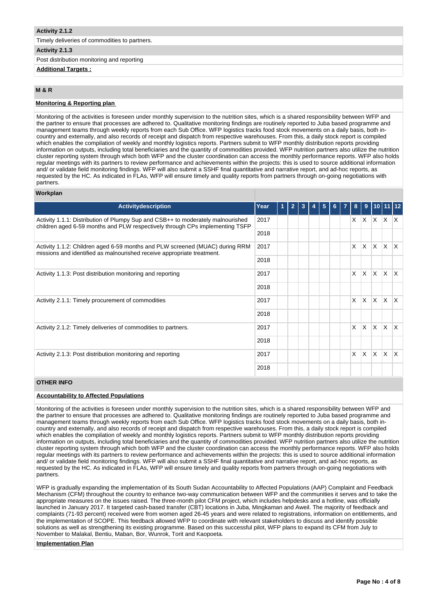#### **Activity 2.1.2**

Timely deliveries of commodities to partners.

## **Activity 2.1.3**

Post distribution monitoring and reporting

## **Additional Targets :**

# **M & R**

# **Monitoring & Reporting plan**

Monitoring of the activities is foreseen under monthly supervision to the nutrition sites, which is a shared responsibility between WFP and the partner to ensure that processes are adhered to. Qualitative monitoring findings are routinely reported to Juba based programme and management teams through weekly reports from each Sub Office. WFP logistics tracks food stock movements on a daily basis, both incountry and externally, and also records of receipt and dispatch from respective warehouses. From this, a daily stock report is compiled which enables the compilation of weekly and monthly logistics reports. Partners submit to WFP monthly distribution reports providing information on outputs, including total beneficiaries and the quantity of commodities provided. WFP nutrition partners also utilize the nutrition cluster reporting system through which both WFP and the cluster coordination can access the monthly performance reports. WFP also holds regular meetings with its partners to review performance and achievements within the projects: this is used to source additional information and/ or validate field monitoring findings. WFP will also submit a SSHF final quantitative and narrative report, and ad-hoc reports, as requested by the HC. As indicated in FLAs, WFP will ensure timely and quality reports from partners through on-going negotiations with partners.

#### **Workplan**

| Activitydescription                                                                                                                                             | Year | 1 | $\overline{2}$ |  | 5 | 6 | $\overline{7}$ | 8        | 9            |              |                          |          |
|-----------------------------------------------------------------------------------------------------------------------------------------------------------------|------|---|----------------|--|---|---|----------------|----------|--------------|--------------|--------------------------|----------|
|                                                                                                                                                                 |      |   |                |  |   |   |                |          |              |              |                          |          |
| Activity 1.1.1: Distribution of Plumpy Sup and CSB++ to moderately malnourished<br>children aged 6-59 months and PLW respectively through CPs implementing TSFP | 2017 |   |                |  |   |   |                |          |              |              | $x \times x \times x$    |          |
|                                                                                                                                                                 | 2018 |   |                |  |   |   |                |          |              |              |                          |          |
| Activity 1.1.2: Children aged 6-59 months and PLW screened (MUAC) during RRM<br>missions and identified as malnourished receive appropriate treatment.          | 2017 |   |                |  |   |   |                | $\times$ |              |              | $x \mid x \mid x \mid x$ |          |
|                                                                                                                                                                 | 2018 |   |                |  |   |   |                |          |              |              |                          |          |
| Activity 1.1.3: Post distribution monitoring and reporting                                                                                                      | 2017 |   |                |  |   |   |                | X        | $\mathsf{X}$ | ΙX.          | ΙX.                      | X        |
|                                                                                                                                                                 | 2018 |   |                |  |   |   |                |          |              |              |                          |          |
| Activity 2.1.1: Timely procurement of commodities                                                                                                               | 2017 |   |                |  |   |   |                | X        | X.           | ΙX.          | ΙX.                      | ΙX.      |
|                                                                                                                                                                 | 2018 |   |                |  |   |   |                |          |              |              |                          |          |
| Activity 2.1.2: Timely deliveries of commodities to partners.                                                                                                   | 2017 |   |                |  |   |   |                | $\times$ | ΙX.          | $\mathsf{X}$ | $\mathsf{X}$             | ΙX.      |
|                                                                                                                                                                 | 2018 |   |                |  |   |   |                |          |              |              |                          |          |
| Activity 2.1.3: Post distribution monitoring and reporting                                                                                                      | 2017 |   |                |  |   |   |                | X        | $\mathsf{X}$ | $\mathsf{X}$ | ΙX.                      | $\times$ |
|                                                                                                                                                                 | 2018 |   |                |  |   |   |                |          |              |              |                          |          |

## **OTHER INFO**

## **Accountability to Affected Populations**

Monitoring of the activities is foreseen under monthly supervision to the nutrition sites, which is a shared responsibility between WFP and the partner to ensure that processes are adhered to. Qualitative monitoring findings are routinely reported to Juba based programme and management teams through weekly reports from each Sub Office. WFP logistics tracks food stock movements on a daily basis, both incountry and externally, and also records of receipt and dispatch from respective warehouses. From this, a daily stock report is compiled which enables the compilation of weekly and monthly logistics reports. Partners submit to WFP monthly distribution reports providing information on outputs, including total beneficiaries and the quantity of commodities provided. WFP nutrition partners also utilize the nutrition cluster reporting system through which both WFP and the cluster coordination can access the monthly performance reports. WFP also holds regular meetings with its partners to review performance and achievements within the projects: this is used to source additional information and/ or validate field monitoring findings. WFP will also submit a SSHF final quantitative and narrative report, and ad-hoc reports, as requested by the HC. As indicated in FLAs, WFP will ensure timely and quality reports from partners through on-going negotiations with partners.

WFP is gradually expanding the implementation of its South Sudan Accountability to Affected Populations (AAP) Complaint and Feedback Mechanism (CFM) throughout the country to enhance two-way communication between WFP and the communities it serves and to take the appropriate measures on the issues raised. The three-month pilot CFM project, which includes helpdesks and a hotline, was officially launched in January 2017. It targeted cash-based transfer (CBT) locations in Juba, Mingkaman and Aweil. The majority of feedback and complaints (71-93 percent) received were from women aged 26-45 years and were related to registrations, information on entitlements, and the implementation of SCOPE. This feedback allowed WFP to coordinate with relevant stakeholders to discuss and identify possible solutions as well as strengthening its existing programme. Based on this successful pilot, WFP plans to expand its CFM from July to November to Malakal, Bentiu, Maban, Bor, Wunrok, Torit and Kaopoeta.

#### **Implementation Plan**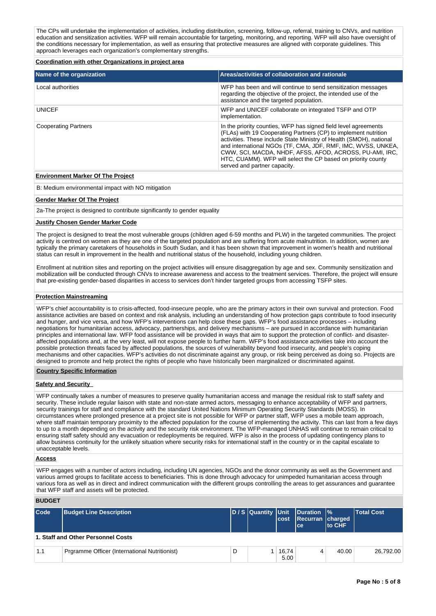The CPs will undertake the implementation of activities, including distribution, screening, follow-up, referral, training to CNVs, and nutrition education and sensitization activities. WFP will remain accountable for targeting, monitoring, and reporting. WFP will also have oversight of the conditions necessary for implementation, as well as ensuring that protective measures are aligned with corporate guidelines. This approach leverages each organization's complementary strengths.

**Coordination with other Organizations in project area**

| Name of the organization    | Areas/activities of collaboration and rationale                                                                                                                                                                                                                                                                                                                                                                                      |
|-----------------------------|--------------------------------------------------------------------------------------------------------------------------------------------------------------------------------------------------------------------------------------------------------------------------------------------------------------------------------------------------------------------------------------------------------------------------------------|
| Local authorities           | WFP has been and will continue to send sensitization messages<br>regarding the objective of the project, the intended use of the<br>assistance and the targeted population.                                                                                                                                                                                                                                                          |
| <b>UNICEF</b>               | WFP and UNICEF collaborate on integrated TSFP and OTP<br>implementation.                                                                                                                                                                                                                                                                                                                                                             |
| <b>Cooperating Partners</b> | In the priority counties, WFP has signed field level agreements<br>(FLAs) with 19 Cooperating Partners (CP) to implement nutrition<br>activities. These include State Ministry of Health (SMOH), national<br>and international NGOs (TF, CMA, JDF, RMF, IMC, WVSS, UNKEA,<br>CWW, SCI, MACDA, NHDF, AFSS, AFOD, ACROSS, PU-AMI, IRC,<br>HTC, CUAMM). WFP will select the CP based on priority county<br>served and partner capacity. |

#### **Environment Marker Of The Project**

B: Medium environmental impact with NO mitigation

#### **Gender Marker Of The Project**

2a-The project is designed to contribute significantly to gender equality

#### **Justify Chosen Gender Marker Code**

The project is designed to treat the most vulnerable groups (children aged 6-59 months and PLW) in the targeted communities. The project activity is centred on women as they are one of the targeted population and are suffering from acute malnutrition. In addition, women are typically the primary caretakers of households in South Sudan, and it has been shown that improvement in women's health and nutritional status can result in improvement in the health and nutritional status of the household, including young children.

Enrollment at nutrition sites and reporting on the project activities will ensure disaggregation by age and sex. Community sensitization and mobilization will be conducted through CNVs to increase awareness and access to the treatment services. Therefore, the project will ensure that pre-existing gender-based disparities in access to services don't hinder targeted groups from accessing TSFP sites.

#### **Protection Mainstreaming**

WFP's chief accountability is to crisis-affected, food-insecure people, who are the primary actors in their own survival and protection. Food assistance activities are based on context and risk analysis, including an understanding of how protection gaps contribute to food insecurity and hunger, and vice versa, and how WFP's interventions can help close these gaps. WFP's food assistance processes – including negotiations for humanitarian access, advocacy, partnerships, and delivery mechanisms – are pursued in accordance with humanitarian principles and international law. WFP food assistance will be provided in ways that aim to support the protection of conflict- and disasteraffected populations and, at the very least, will not expose people to further harm. WFP's food assistance activities take into account the possible protection threats faced by affected populations, the sources of vulnerability beyond food insecurity, and people's coping mechanisms and other capacities. WFP's activities do not discriminate against any group, or risk being perceived as doing so. Projects are designed to promote and help protect the rights of people who have historically been marginalized or discriminated against.

#### **Country Specific Information**

#### **Safety and Security**

WFP continually takes a number of measures to preserve quality humanitarian access and manage the residual risk to staff safety and security. These include regular liaison with state and non-state armed actors, messaging to enhance acceptability of WFP and partners, security trainings for staff and compliance with the standard United Nations Minimum Operating Security Standards (MOSS). In circumstances where prolonged presence at a project site is not possible for WFP or partner staff, WFP uses a mobile team approach, where staff maintain temporary proximity to the affected population for the course of implementing the activity. This can last from a few days to up to a month depending on the activity and the security risk environment. The WFP-managed UNHAS will continue to remain critical to ensuring staff safety should any evacuation or redeployments be required. WFP is also in the process of updating contingency plans to allow business continuity for the unlikely situation where security risks for international staff in the country or in the capital escalate to unacceptable levels.

#### **Access**

WFP engages with a number of actors including, including UN agencies, NGOs and the donor community as well as the Government and various armed groups to facilitate access to beneficiaries. This is done through advocacy for unimpeded humanitarian access through various fora as well as in direct and indirect communication with the different groups controlling the areas to get assurances and guarantee that WFP staff and assets will be protected.

#### **BUDGET**

| $\mathsf{Code}$ | <b>Budget Line Description</b>                | D/S Quantity Unit Duration % |  | cost          | Recurran charged<br>lce: | to CHF | <b>Total Cost</b> |  |
|-----------------|-----------------------------------------------|------------------------------|--|---------------|--------------------------|--------|-------------------|--|
|                 | 1. Staff and Other Personnel Costs            |                              |  |               |                          |        |                   |  |
| 1.1             | Prgramme Officer (International Nutritionist) | D                            |  | 16,74<br>5.00 | 4                        | 40.00  | 26,792.00         |  |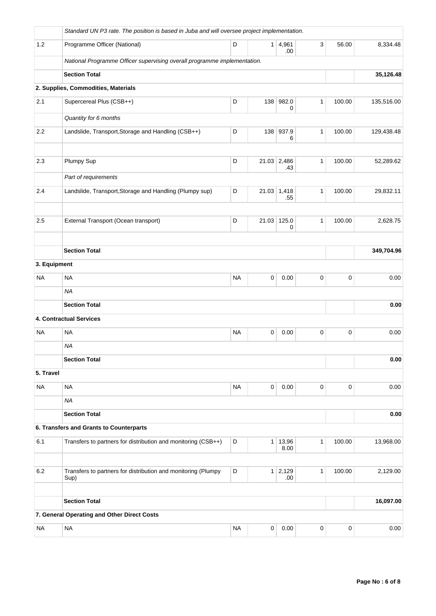|              | Standard UN P3 rate. The position is based in Juba and will oversee project implementation. |           |                |                    |              |             |            |
|--------------|---------------------------------------------------------------------------------------------|-----------|----------------|--------------------|--------------|-------------|------------|
| 1.2          | Programme Officer (National)                                                                | D         | 1 <sup>1</sup> | 4,961<br>.00.      | $\mathbf{3}$ | 56.00       | 8,334.48   |
|              | National Programme Officer supervising overall programme implementation.                    |           |                |                    |              |             |            |
|              | <b>Section Total</b>                                                                        |           |                |                    |              |             | 35,126.48  |
|              | 2. Supplies, Commodities, Materials                                                         |           |                |                    |              |             |            |
| 2.1          | Supercereal Plus (CSB++)                                                                    | D         |                | 138 982.0<br>0     | $\mathbf{1}$ | 100.00      | 135,516.00 |
|              | Quantity for 6 months                                                                       |           |                |                    |              |             |            |
| 2.2          | Landslide, Transport, Storage and Handling (CSB++)                                          | D         |                | 138 937.9<br>6     | $\mathbf{1}$ | 100.00      | 129,438.48 |
| 2.3          | Plumpy Sup                                                                                  | D         |                | 21.03 2,486<br>.43 | $\mathbf{1}$ | 100.00      | 52,289.62  |
|              | Part of requirements                                                                        |           |                |                    |              |             |            |
| 2.4          | Landslide, Transport, Storage and Handling (Plumpy sup)                                     | D         |                | 21.03 1,418<br>.55 | $\mathbf{1}$ | 100.00      | 29,832.11  |
|              |                                                                                             |           |                |                    |              |             |            |
| 2.5          | External Transport (Ocean transport)                                                        | D         |                | 21.03 125.0<br>0   | $\mathbf{1}$ | 100.00      | 2,628.75   |
|              | <b>Section Total</b>                                                                        |           |                |                    |              |             | 349,704.96 |
| 3. Equipment |                                                                                             |           |                |                    |              |             |            |
| <b>NA</b>    | <b>NA</b>                                                                                   | <b>NA</b> | $\mathbf 0$    | 0.00               | $\mathbf 0$  | $\mathbf 0$ | 0.00       |
|              | <b>NA</b>                                                                                   |           |                |                    |              |             |            |
|              | <b>Section Total</b>                                                                        |           |                |                    |              |             | 0.00       |
|              | <b>4. Contractual Services</b>                                                              |           |                |                    |              |             |            |
| NA           | <b>NA</b>                                                                                   | <b>NA</b> | $\mathbf 0$    | 0.00               | $\pmb{0}$    | $\mathbf 0$ | 0.00       |
|              | <b>NA</b>                                                                                   |           |                |                    |              |             |            |
|              | <b>Section Total</b>                                                                        |           |                |                    |              |             | 0.00       |
| 5. Travel    |                                                                                             |           |                |                    |              |             |            |
| <b>NA</b>    | <b>NA</b>                                                                                   | <b>NA</b> | $\pmb{0}$      | 0.00               | $\mathsf 0$  | $\mathsf 0$ | 0.00       |
|              | <b>NA</b>                                                                                   |           |                |                    |              |             |            |
|              | <b>Section Total</b>                                                                        |           |                |                    |              |             | 0.00       |
|              | 6. Transfers and Grants to Counterparts                                                     |           |                |                    |              |             |            |
| 6.1          | Transfers to partners for distribution and monitoring (CSB++)                               | D         | 1              | 13,96<br>8.00      | $\mathbf{1}$ | 100.00      | 13,968.00  |
| 6.2          | Transfers to partners for distribution and monitoring (Plumpy<br>Sup)                       | D         | 1              | 2,129<br>.00.      | $\mathbf{1}$ | 100.00      | 2,129.00   |
|              | <b>Section Total</b>                                                                        |           |                |                    |              |             | 16,097.00  |
|              | 7. General Operating and Other Direct Costs                                                 |           |                |                    |              |             |            |
| <b>NA</b>    | <b>NA</b>                                                                                   | <b>NA</b> | 0              | 0.00               | 0            | $\pmb{0}$   | 0.00       |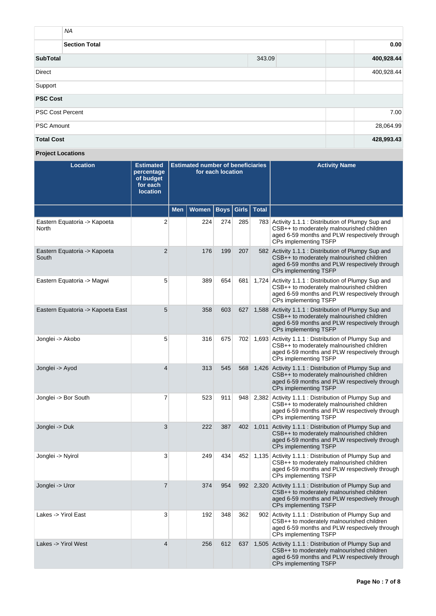| <b>NA</b>               |        |            |
|-------------------------|--------|------------|
| <b>Section Total</b>    |        | 0.00       |
| <b>SubTotal</b>         | 343.09 | 400,928.44 |
| <b>Direct</b>           |        | 400,928.44 |
| Support                 |        |            |
| <b>PSC Cost</b>         |        |            |
| <b>PSC Cost Percent</b> |        | 7.00       |
| <b>PSC Amount</b>       |        | 28,064.99  |
| <b>Total Cost</b>       |        | 428,993.43 |

**Project Locations**

| <b>Location</b>                       | <b>Estimated</b><br>percentage<br>of budget<br>for each<br><b>location</b> | <b>Estimated number of beneficiaries</b><br>for each location |       |             |       |              | <b>Activity Name</b>                                                                                                                                                             |
|---------------------------------------|----------------------------------------------------------------------------|---------------------------------------------------------------|-------|-------------|-------|--------------|----------------------------------------------------------------------------------------------------------------------------------------------------------------------------------|
|                                       |                                                                            | <b>Men</b>                                                    | Women | <b>Boys</b> | Girls | <b>Total</b> |                                                                                                                                                                                  |
| Eastern Equatoria -> Kapoeta<br>North | 2                                                                          |                                                               | 224   | 274         | 285   |              | 783 Activity 1.1.1 : Distribution of Plumpy Sup and<br>CSB++ to moderately malnourished children<br>aged 6-59 months and PLW respectively through<br>CPs implementing TSFP       |
| Eastern Equatoria -> Kapoeta<br>South | $\overline{2}$                                                             |                                                               | 176   | 199         | 207   |              | 582 Activity 1.1.1 : Distribution of Plumpy Sup and<br>CSB++ to moderately malnourished children<br>aged 6-59 months and PLW respectively through<br>CPs implementing TSFP       |
| Eastern Equatoria -> Magwi            | 5                                                                          |                                                               | 389   | 654         | 681   |              | 1,724 Activity 1.1.1 : Distribution of Plumpy Sup and<br>CSB++ to moderately malnourished children<br>aged 6-59 months and PLW respectively through<br>CPs implementing TSFP     |
| Eastern Equatoria -> Kapoeta East     | 5                                                                          |                                                               | 358   | 603         | 627   |              | 1,588 Activity 1.1.1 : Distribution of Plumpy Sup and<br>CSB++ to moderately malnourished children<br>aged 6-59 months and PLW respectively through<br>CPs implementing TSFP     |
| Jonglei -> Akobo                      | 5                                                                          |                                                               | 316   | 675         | 702   |              | 1,693 Activity 1.1.1 : Distribution of Plumpy Sup and<br>CSB++ to moderately malnourished children<br>aged 6-59 months and PLW respectively through<br>CPs implementing TSFP     |
| Jonglei -> Ayod                       | $\overline{4}$                                                             |                                                               | 313   | 545         | 568   |              | 1,426 Activity 1.1.1 : Distribution of Plumpy Sup and<br>CSB++ to moderately malnourished children<br>aged 6-59 months and PLW respectively through<br>CPs implementing TSFP     |
| Jonglei -> Bor South                  | 7                                                                          |                                                               | 523   | 911         | 948   |              | 2,382 Activity 1.1.1 : Distribution of Plumpy Sup and<br>CSB++ to moderately malnourished children<br>aged 6-59 months and PLW respectively through<br>CPs implementing TSFP     |
| Jonglei -> Duk                        | 3                                                                          |                                                               | 222   | 387         | 402   |              | 1,011 Activity 1.1.1 : Distribution of Plumpy Sup and<br>CSB++ to moderately malnourished children<br>aged 6-59 months and PLW respectively through<br>CPs implementing TSFP     |
| Jonglei -> Nyirol                     | 3                                                                          |                                                               | 249   | 434         | 452   |              | 1,135 Activity 1.1.1 : Distribution of Plumpy Sup and<br>CSB++ to moderately malnourished children<br>aged 6-59 months and PLW respectively through<br>CPs implementing TSFP     |
| Jonglei -> Uror                       | $\overline{7}$                                                             |                                                               | 374   | 954         |       |              | 992 2,320 Activity 1.1.1 : Distribution of Plumpy Sup and<br>CSB++ to moderately malnourished children<br>aged 6-59 months and PLW respectively through<br>CPs implementing TSFP |
| Lakes -> Yirol East                   | 3                                                                          |                                                               | 192   | 348         | 362   |              | 902 Activity 1.1.1 : Distribution of Plumpy Sup and<br>CSB++ to moderately malnourished children<br>aged 6-59 months and PLW respectively through<br>CPs implementing TSFP       |
| Lakes -> Yirol West                   | $\overline{4}$                                                             |                                                               | 256   | 612         | 637   |              | 1,505 Activity 1.1.1 : Distribution of Plumpy Sup and<br>CSB++ to moderately malnourished children<br>aged 6-59 months and PLW respectively through<br>CPs implementing TSFP     |